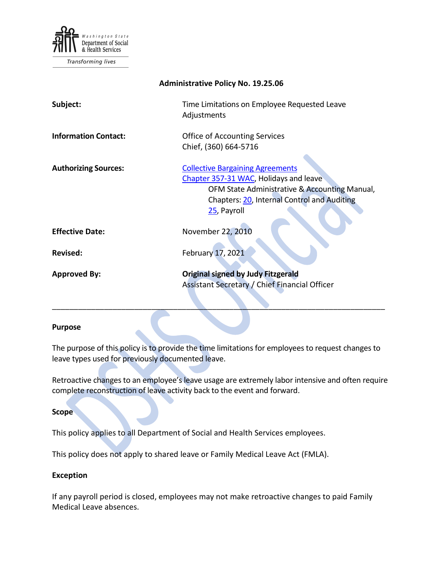

Transforming lives

| <b>Administrative Policy No. 19.25.06</b> |                                                                                                                                                                                                  |
|-------------------------------------------|--------------------------------------------------------------------------------------------------------------------------------------------------------------------------------------------------|
| Subject:                                  | Time Limitations on Employee Requested Leave<br>Adjustments                                                                                                                                      |
| <b>Information Contact:</b>               | <b>Office of Accounting Services</b><br>Chief, (360) 664-5716                                                                                                                                    |
| <b>Authorizing Sources:</b>               | <b>Collective Bargaining Agreements</b><br>Chapter 357-31 WAC, Holidays and leave<br>OFM State Administrative & Accounting Manual,<br>Chapters: 20, Internal Control and Auditing<br>25, Payroll |
| <b>Effective Date:</b>                    | November 22, 2010                                                                                                                                                                                |
| <b>Revised:</b>                           | February 17, 2021                                                                                                                                                                                |
| <b>Approved By:</b>                       | <b>Original signed by Judy Fitzgerald</b><br>Assistant Secretary / Chief Financial Officer                                                                                                       |

#### **Purpose**

The purpose of this policy is to provide the time limitations for employees to request changes to leave types used for previously documented leave.

\_\_\_\_\_\_\_\_\_\_\_\_\_\_\_\_\_\_\_\_\_\_\_\_\_\_\_\_\_\_\_\_\_\_\_\_\_\_\_\_\_\_\_\_\_\_\_\_\_\_\_\_\_\_\_\_\_\_\_\_\_\_\_\_\_\_\_\_\_\_\_\_\_\_\_\_\_

Retroactive changes to an employee's leave usage are extremely labor intensive and often require complete reconstruction of leave activity back to the event and forward.

#### **Scope**

This policy applies to all Department of Social and Health Services employees.

This policy does not apply to shared leave or Family Medical Leave Act (FMLA).

#### **Exception**

If any payroll period is closed, employees may not make retroactive changes to paid Family Medical Leave absences.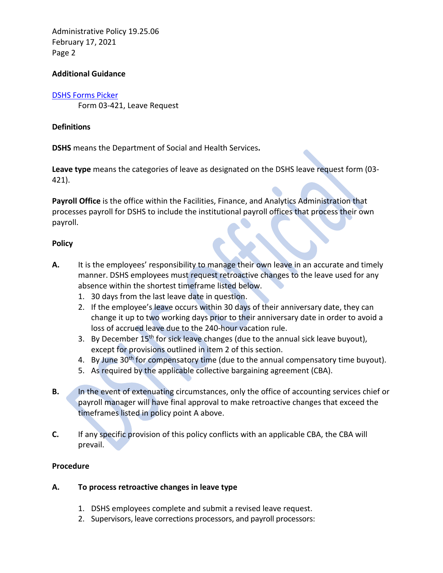Administrative Policy 19.25.06 February 17, 2021 Page 2

### **Additional Guidance**

#### [DSHS Forms Picker](http://forms.dshs.wa.lcl/)

Form 03-421, Leave Request

### **Definitions**

**DSHS** means the Department of Social and Health Services**.**

**Leave type** means the categories of leave as designated on the DSHS leave request form (03- 421).

**Payroll Office** is the office within the Facilities, Finance, and Analytics Administration that processes payroll for DSHS to include the institutional payroll offices that process their own payroll.

### **Policy**

- **A.** It is the employees' responsibility to manage their own leave in an accurate and timely manner. DSHS employees must request retroactive changes to the leave used for any absence within the shortest timeframe listed below.
	- 1. 30 days from the last leave date in question.
	- 2. If the employee's leave occurs within 30 days of their anniversary date, they can change it up to two working days prior to their anniversary date in order to avoid a loss of accrued leave due to the 240-hour vacation rule.
	- 3. By December 15<sup>th</sup> for sick leave changes (due to the annual sick leave buyout), except for provisions outlined in item 2 of this section.
	- 4. By June 30<sup>th</sup> for compensatory time (due to the annual compensatory time buyout).
	- 5. As required by the applicable collective bargaining agreement (CBA).
- **B.** In the event of extenuating circumstances, only the office of accounting services chief or payroll manager will have final approval to make retroactive changes that exceed the timeframes listed in policy point A above.
- **C.** If any specific provision of this policy conflicts with an applicable CBA, the CBA will prevail.

### **Procedure**

- **A. To process retroactive changes in leave type**
	- 1. DSHS employees complete and submit a revised leave request.
	- 2. Supervisors, leave corrections processors, and payroll processors: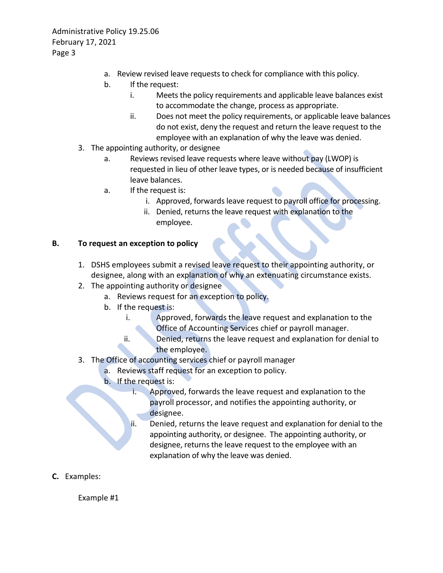Administrative Policy 19.25.06 February 17, 2021 Page 3

- a. Review revised leave requests to check for compliance with this policy.
- b. If the request:
	- i. Meets the policy requirements and applicable leave balances exist to accommodate the change, process as appropriate.
	- ii. Does not meet the policy requirements, or applicable leave balances do not exist, deny the request and return the leave request to the employee with an explanation of why the leave was denied.
- 3. The appointing authority, or designee
	- a. Reviews revised leave requests where leave without pay (LWOP) is requested in lieu of other leave types, or is needed because of insufficient leave balances.
	- a. If the request is:
		- i. Approved, forwards leave request to payroll office for processing.
		- ii. Denied, returns the leave request with explanation to the employee.

## **B. To request an exception to policy**

- 1. DSHS employees submit a revised leave request to their appointing authority, or designee, along with an explanation of why an extenuating circumstance exists.
- 2. The appointing authority or designee
	- a. Reviews request for an exception to policy.
	- b. If the request is:
		- i. Approved, forwards the leave request and explanation to the Office of Accounting Services chief or payroll manager.
		- ii. Denied, returns the leave request and explanation for denial to the employee.
- 3. The Office of accounting services chief or payroll manager
	- a. Reviews staff request for an exception to policy.
	- b. If the request is:
		- i. Approved, forwards the leave request and explanation to the payroll processor, and notifies the appointing authority, or designee.
		- ii. Denied, returns the leave request and explanation for denial to the appointing authority, or designee. The appointing authority, or designee, returns the leave request to the employee with an explanation of why the leave was denied.
- **C.** Examples:

Example #1